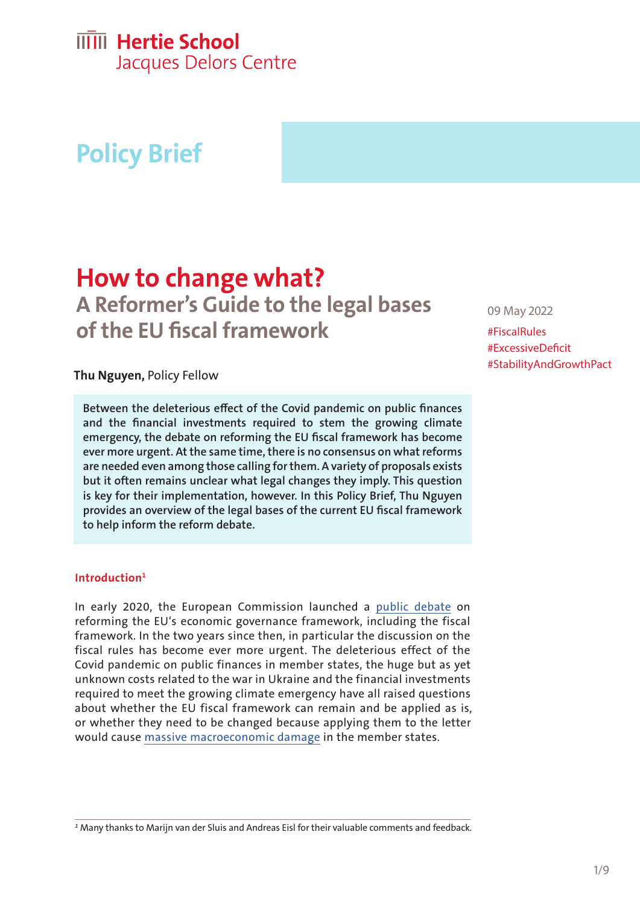## **IIIII** Hertie School

Jacques Delors Centre

## **Policy Brief**

# **How to change what?**

**A Reformer's Guide to the legal bases of the EU fiscal framework**

#### **Thu Nguyen,** Policy Fellow

**Between the deleterious effect of the Covid pandemic on public finances and the financial investments required to stem the growing climate emergency, the debate on reforming the EU fiscal framework has become ever more urgent. At the same time, there is no consensus on what reforms are needed even among those calling for them. A variety of proposals exists but it often remains unclear what legal changes they imply. This question is key for their implementation, however. In this Policy Brief, Thu Nguyen provides an overview of the legal bases of the current EU fiscal framework to help inform the reform debate.** 

#### **Introduction1**

In early 2020, the European Commission launched a [public debate](https://ec.europa.eu/info/business-economy-euro/economic-and-fiscal-policy-coordination/economic-governance-review_en) on reforming the EU's economic governance framework, including the fiscal framework. In the two years since then, in particular the discussion on the fiscal rules has become ever more urgent. The deleterious effect of the Covid pandemic on public finances in member states, the huge but as yet unknown costs related to the war in Ukraine and the financial investments required to meet the growing climate emergency have all raised questions about whether the EU fiscal framework can remain and be applied as is, or whether they need to be changed because applying them to the letter would cause [massive macroeconomic damage](https://hertieschool-f4e6.kxcdn.com/fileadmin/2_Research/1_About_our_research/2_Research_centres/6_Jacques_Delors_Centre/Publications/Wahl_spezial_Economic_Governance.pdf) in the member states.

09 May 2022

#FiscalRules #ExcessiveDeficit #StabilityAndGrowthPact

*1* Many thanks to Marijn van der Sluis and Andreas Eisl for their valuable comments and feedback.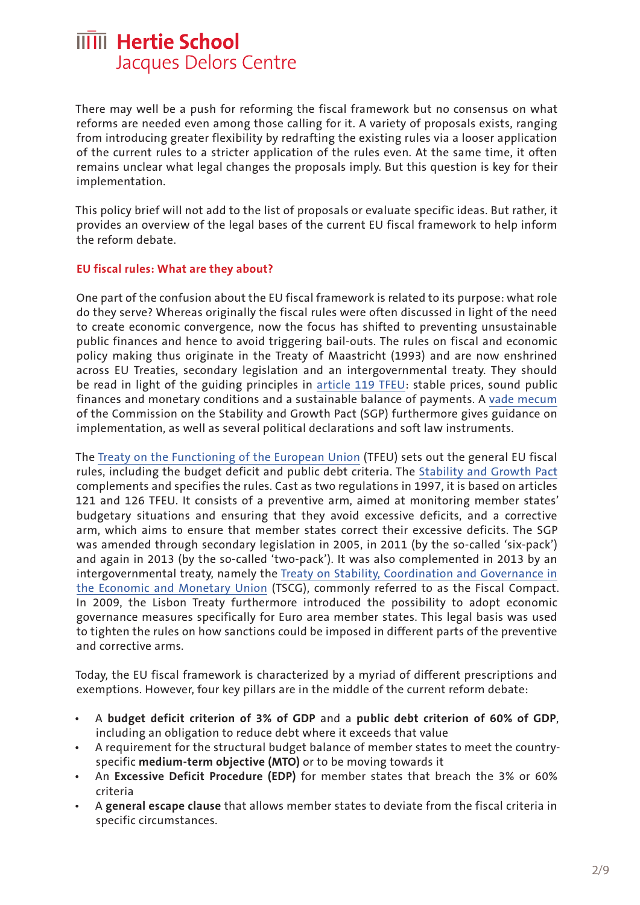There may well be a push for reforming the fiscal framework but no consensus on what reforms are needed even among those calling for it. A variety of proposals exists, ranging from introducing greater flexibility by redrafting the existing rules via a looser application of the current rules to a stricter application of the rules even. At the same time, it often remains unclear what legal changes the proposals imply. But this question is key for their implementation.

This policy brief will not add to the list of proposals or evaluate specific ideas. But rather, it provides an overview of the legal bases of the current EU fiscal framework to help inform the reform debate.

#### **EU fiscal rules: What are they about?**

One part of the confusion about the EU fiscal framework is related to its purpose: what role do they serve? Whereas originally the fiscal rules were often discussed in light of the need to create economic convergence, now the focus has shifted to preventing unsustainable public finances and hence to avoid triggering bail-outs. The rules on fiscal and economic policy making thus originate in the Treaty of Maastricht (1993) and are now enshrined across EU Treaties, secondary legislation and an intergovernmental treaty. They should be read in light of the guiding principles in [article 119 TFEU](https://eur-lex.europa.eu/legal-content/en/TXT/?uri=CELEX%3A12016E119): stable prices, sound public finances and monetary conditions and a sustainable balance of payments. A [vade mecum](https://ec.europa.eu/info/publications/vade-mecum-stability-and-growth-pact-2019-edition_en)  of the Commission on the Stability and Growth Pact (SGP) furthermore gives guidance on implementation, as well as several political declarations and soft law instruments.

The [Treaty on the Functioning of the European Union](https://eur-lex.europa.eu/legal-content/EN/TXT/?uri=celex%3A12012E%2FTXT) (TFEU) sets out the general EU fiscal rules, including the budget deficit and public debt criteria. The [Stability and Growth Pact](https://ec.europa.eu/info/business-economy-euro/economic-and-fiscal-policy-coordination/eu-economic-governance-monitoring-prevention-correction/stability-and-growth-pact/legal-basis-stability-and-growth-pact_en) complements and specifies the rules. Cast as two regulations in 1997, it is based on articles 121 and 126 TFEU. It consists of a preventive arm, aimed at monitoring member states' budgetary situations and ensuring that they avoid excessive deficits, and a corrective arm, which aims to ensure that member states correct their excessive deficits. The SGP was amended through secondary legislation in 2005, in 2011 (by the so-called 'six-pack') and again in 2013 (by the so-called 'two-pack'). It was also complemented in 2013 by an intergovernmental treaty, namely the [Treaty on Stability, Coordination and Governance in](https://www.consilium.europa.eu/media/20399/st00tscg26_en12.pdf)  [the Economic and Monetary Union](https://www.consilium.europa.eu/media/20399/st00tscg26_en12.pdf) (TSCG), commonly referred to as the Fiscal Compact. In 2009, the Lisbon Treaty furthermore introduced the possibility to adopt economic governance measures specifically for Euro area member states. This legal basis was used to tighten the rules on how sanctions could be imposed in different parts of the preventive and corrective arms.

Today, the EU fiscal framework is characterized by a myriad of different prescriptions and exemptions. However, four key pillars are in the middle of the current reform debate:

- A **budget deficit criterion of 3% of GDP** and a **public debt criterion of 60% of GDP**, including an obligation to reduce debt where it exceeds that value
- A requirement for the structural budget balance of member states to meet the countryspecific **medium-term objective (MTO)** or to be moving towards it
- An **Excessive Deficit Procedure (EDP)** for member states that breach the 3% or 60% criteria
- A **general escape clause** that allows member states to deviate from the fiscal criteria in specific circumstances.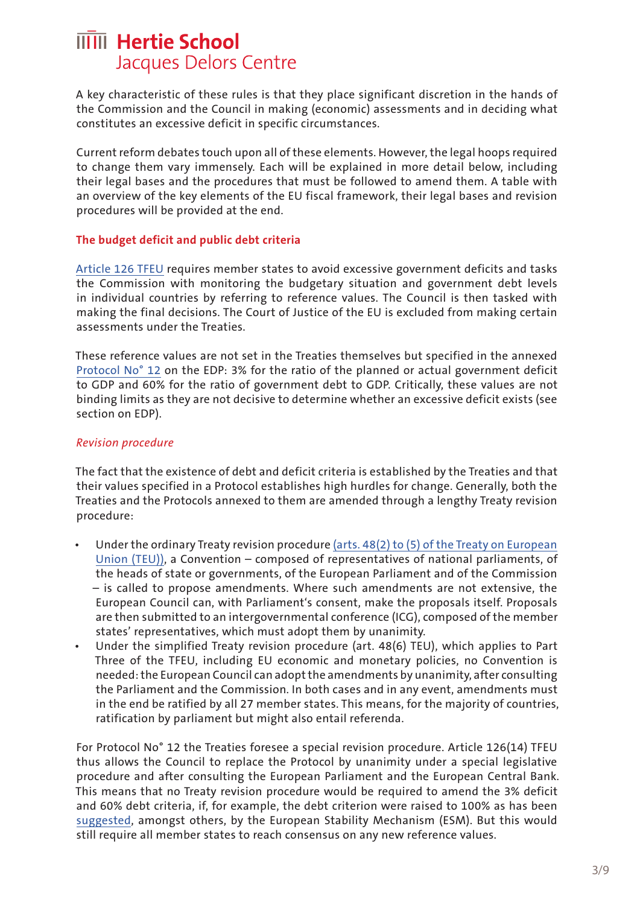A key characteristic of these rules is that they place significant discretion in the hands of the Commission and the Council in making (economic) assessments and in deciding what constitutes an excessive deficit in specific circumstances.

Current reform debates touch upon all of these elements. However, the legal hoops required to change them vary immensely. Each will be explained in more detail below, including their legal bases and the procedures that must be followed to amend them. A table with an overview of the key elements of the EU fiscal framework, their legal bases and revision procedures will be provided at the end.

#### **The budget deficit and public debt criteria**

[Article 126 TFEU](https://eur-lex.europa.eu/legal-content/EN/ALL/?uri=CELEX%3A12008E126) requires member states to avoid excessive government deficits and tasks the Commission with monitoring the budgetary situation and government debt levels in individual countries by referring to reference values. The Council is then tasked with making the final decisions. The Court of Justice of the EU is excluded from making certain assessments under the Treaties.

These reference values are not set in the Treaties themselves but specified in the annexed [Protocol No° 12](https://eur-lex.europa.eu/legal-content/EN/ALL/?uri=CELEX%3A12008M%2FPRO%2F12) on the EDP: 3% for the ratio of the planned or actual government deficit to GDP and 60% for the ratio of government debt to GDP. Critically, these values are not binding limits as they are not decisive to determine whether an excessive deficit exists (see section on EDP).

#### *Revision procedure*

The fact that the existence of debt and deficit criteria is established by the Treaties and that their values specified in a Protocol establishes high hurdles for change. Generally, both the Treaties and the Protocols annexed to them are amended through a lengthy Treaty revision procedure:

- Under the ordinary Treaty revision procedure [\(arts. 48\(2\) to \(5\) of the Treaty on European](https://eur-lex.europa.eu/legal-content/EN/TXT/?uri=CELEX%3A12008M048)  [Union \(TEU\)\),](https://eur-lex.europa.eu/legal-content/EN/TXT/?uri=CELEX%3A12008M048) a Convention – composed of representatives of national parliaments, of the heads of state or governments, of the European Parliament and of the Commission – is called to propose amendments. Where such amendments are not extensive, the European Council can, with Parliament's consent, make the proposals itself. Proposals are then submitted to an intergovernmental conference (ICG), composed of the member states' representatives, which must adopt them by unanimity.
- Under the simplified Treaty revision procedure (art. 48(6) TEU), which applies to Part Three of the TFEU, including EU economic and monetary policies, no Convention is needed: the European Council can adopt the amendments by unanimity, after consulting the Parliament and the Commission. In both cases and in any event, amendments must in the end be ratified by all 27 member states. This means, for the majority of countries, ratification by parliament but might also entail referenda.

For Protocol No° 12 the Treaties foresee a special revision procedure. Article 126(14) TFEU thus allows the Council to replace the Protocol by unanimity under a special legislative procedure and after consulting the European Parliament and the European Central Bank. This means that no Treaty revision procedure would be required to amend the 3% deficit and 60% debt criteria, if, for example, the debt criterion were raised to 100% as has been [suggested,](https://www.esm.europa.eu/articles-and-op-eds/impulses-growth-and-stability-europe-article-klaus-regling) amongst others, by the European Stability Mechanism (ESM). But this would still require all member states to reach consensus on any new reference values.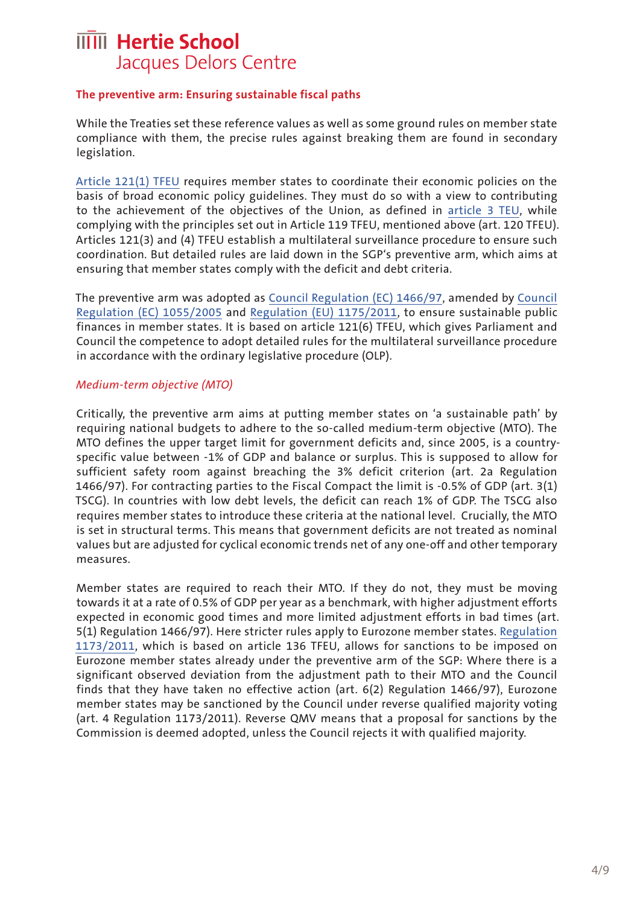#### **The preventive arm: Ensuring sustainable fiscal paths**

While the Treaties set these reference values as well as some ground rules on member state compliance with them, the precise rules against breaking them are found in secondary legislation.

[Article 121\(1\) TFEU](https://eur-lex.europa.eu/legal-content/EN/ALL/?uri=CELEX%3A12008E121) requires member states to coordinate their economic policies on the basis of broad economic policy guidelines. They must do so with a view to contributing to the achievement of the objectives of the Union, as defined in [article 3 TEU](https://eur-lex.europa.eu/legal-content/EN/TXT/HTML/?uri=CELEX:12008M003), while complying with the principles set out in Article 119 TFEU, mentioned above (art. 120 TFEU). Articles 121(3) and (4) TFEU establish a multilateral surveillance procedure to ensure such coordination. But detailed rules are laid down in the SGP's preventive arm, which aims at ensuring that member states comply with the deficit and debt criteria.

The preventive arm was adopted as [Council Regulation \(EC\) 1466/97,](https://eur-lex.europa.eu/legal-content/EN/TXT/?uri=CELEX%3A01997R1466-20111213) amended by [Council](https://eur-lex.europa.eu/legal-content/EN/TXT/?uri=CELEX:32005R1055)  [Regulation \(EC\) 1055/2005](https://eur-lex.europa.eu/legal-content/EN/TXT/?uri=CELEX:32005R1055) and [Regulation \(EU\) 1175/2011,](https://eur-lex.europa.eu/legal-content/de/TXT/?uri=CELEX%3A32011R1175) to ensure sustainable public finances in member states. It is based on article 121(6) TFEU, which gives Parliament and Council the competence to adopt detailed rules for the multilateral surveillance procedure in accordance with the ordinary legislative procedure (OLP).

#### *Medium-term objective (MTO)*

Critically, the preventive arm aims at putting member states on 'a sustainable path' by requiring national budgets to adhere to the so-called medium-term objective (MTO). The MTO defines the upper target limit for government deficits and, since 2005, is a countryspecific value between -1% of GDP and balance or surplus. This is supposed to allow for sufficient safety room against breaching the 3% deficit criterion (art. 2a Regulation 1466/97). For contracting parties to the Fiscal Compact the limit is -0.5% of GDP (art. 3(1) TSCG). In countries with low debt levels, the deficit can reach 1% of GDP. The TSCG also requires member states to introduce these criteria at the national level. Crucially, the MTO is set in structural terms. This means that government deficits are not treated as nominal values but are adjusted for cyclical economic trends net of any one-off and other temporary measures.

Member states are required to reach their MTO. If they do not, they must be moving towards it at a rate of 0.5% of GDP per year as a benchmark, with higher adjustment efforts expected in economic good times and more limited adjustment efforts in bad times (art. 5(1) Regulation 1466/97). Here stricter rules apply to Eurozone member states. [Regulation](https://eur-lex.europa.eu/legal-content/EN/ALL/?uri=CELEX%3A32011R1173)  [1173/2011,](https://eur-lex.europa.eu/legal-content/EN/ALL/?uri=CELEX%3A32011R1173) which is based on article 136 TFEU, allows for sanctions to be imposed on Eurozone member states already under the preventive arm of the SGP: Where there is a significant observed deviation from the adjustment path to their MTO and the Council finds that they have taken no effective action (art. 6(2) Regulation 1466/97), Eurozone member states may be sanctioned by the Council under reverse qualified majority voting (art. 4 Regulation 1173/2011). Reverse QMV means that a proposal for sanctions by the Commission is deemed adopted, unless the Council rejects it with qualified majority.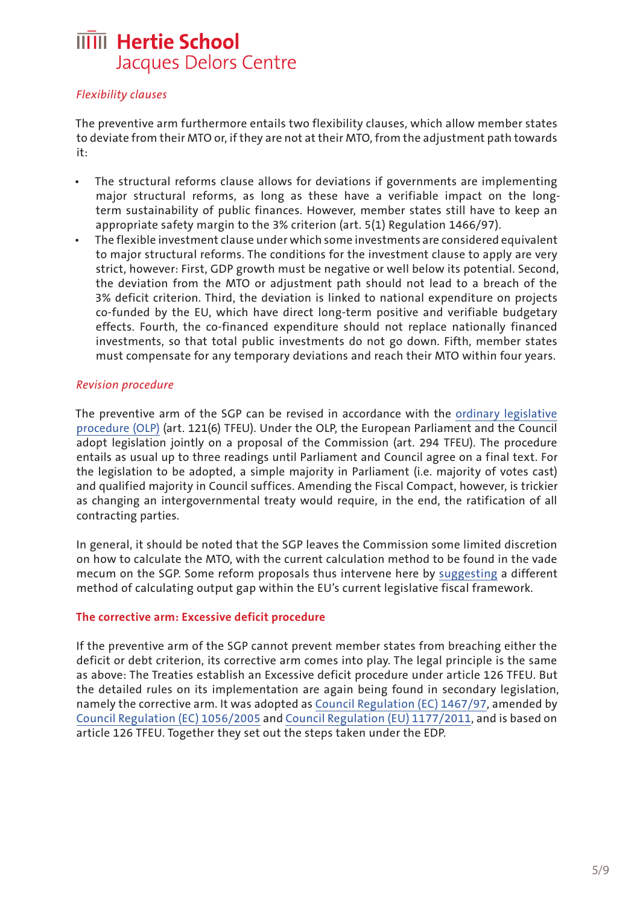#### *Flexibility clauses*

The preventive arm furthermore entails two flexibility clauses, which allow member states to deviate from their MTO or, if they are not at their MTO, from the adjustment path towards it:

- The structural reforms clause allows for deviations if governments are implementing major structural reforms, as long as these have a verifiable impact on the longterm sustainability of public finances. However, member states still have to keep an appropriate safety margin to the 3% criterion (art. 5(1) Regulation 1466/97).
- The flexible investment clause under which some investments are considered equivalent to major structural reforms. The conditions for the investment clause to apply are very strict, however: First, GDP growth must be negative or well below its potential. Second, the deviation from the MTO or adjustment path should not lead to a breach of the 3% deficit criterion. Third, the deviation is linked to national expenditure on projects co-funded by the EU, which have direct long-term positive and verifiable budgetary effects. Fourth, the co-financed expenditure should not replace nationally financed investments, so that total public investments do not go down. Fifth, member states must compensate for any temporary deviations and reach their MTO within four years.

#### *Revision procedure*

The preventive arm of the SGP can be revised in accordance with the [ordinary legislative](https://eur-lex.europa.eu/legal-content/EN/TXT/?uri=CELEX%3A12012E294)  [procedure \(OLP\)](https://eur-lex.europa.eu/legal-content/EN/TXT/?uri=CELEX%3A12012E294) (art. 121(6) TFEU). Under the OLP, the European Parliament and the Council adopt legislation jointly on a proposal of the Commission (art. 294 TFEU). The procedure entails as usual up to three readings until Parliament and Council agree on a final text. For the legislation to be adopted, a simple majority in Parliament (i.e. majority of votes cast) and qualified majority in Council suffices. Amending the Fiscal Compact, however, is trickier as changing an intergovernmental treaty would require, in the end, the ratification of all contracting parties.

In general, it should be noted that the SGP leaves the Commission some limited discretion on how to calculate the MTO, with the current calculation method to be found in the vade mecum on the SGP. Some reform proposals thus intervene here by [suggesting](https://www.dezernatzukunft.org/do-the-mtos-cyclically-adjusted-budget-balances-serve-their-purpose-an-analysis-and-a-reform-proposal/) a different method of calculating output gap within the EU's current legislative fiscal framework.

#### **The corrective arm: Excessive deficit procedure**

If the preventive arm of the SGP cannot prevent member states from breaching either the deficit or debt criterion, its corrective arm comes into play. The legal principle is the same as above: The Treaties establish an Excessive deficit procedure under article 126 TFEU. But the detailed rules on its implementation are again being found in secondary legislation, namely the corrective arm. It was adopted as [Council Regulation \(EC\) 1467/97,](https://eur-lex.europa.eu/legal-content/EN/TXT/?uri=CELEX%3A01997R1467-20111213) amended by [Council Regulation \(EC\) 1056/2005](https://eur-lex.europa.eu/legal-content/en/TXT/?uri=CELEX:32005R1056) and [Council Regulation \(EU\) 1177/2011](https://eur-lex.europa.eu/legal-content/EN/TXT/?uri=celex%3A32011R1177), and is based on article 126 TFEU. Together they set out the steps taken under the EDP.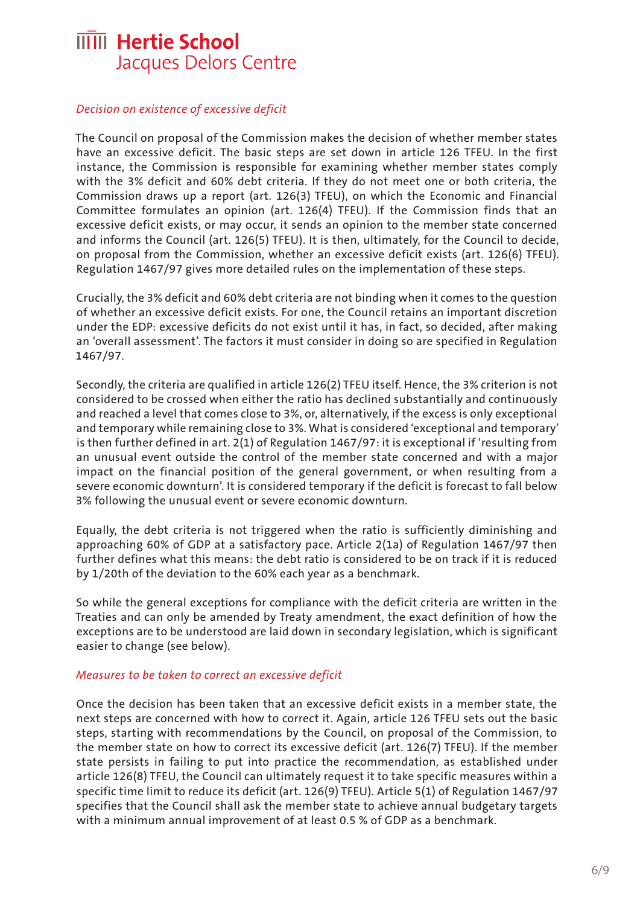#### *Decision on existence of excessive deficit*

The Council on proposal of the Commission makes the decision of whether member states have an excessive deficit. The basic steps are set down in article 126 TFEU. In the first instance, the Commission is responsible for examining whether member states comply with the 3% deficit and 60% debt criteria. If they do not meet one or both criteria, the Commission draws up a report (art. 126(3) TFEU), on which the Economic and Financial Committee formulates an opinion (art. 126(4) TFEU). If the Commission finds that an excessive deficit exists, or may occur, it sends an opinion to the member state concerned and informs the Council (art. 126(5) TFEU). It is then, ultimately, for the Council to decide, on proposal from the Commission, whether an excessive deficit exists (art. 126(6) TFEU). Regulation 1467/97 gives more detailed rules on the implementation of these steps.

Crucially, the 3% deficit and 60% debt criteria are not binding when it comes to the question of whether an excessive deficit exists. For one, the Council retains an important discretion under the EDP: excessive deficits do not exist until it has, in fact, so decided, after making an 'overall assessment'. The factors it must consider in doing so are specified in Regulation 1467/97.

Secondly, the criteria are qualified in article 126(2) TFEU itself. Hence, the 3% criterion is not considered to be crossed when either the ratio has declined substantially and continuously and reached a level that comes close to 3%, or, alternatively, if the excess is only exceptional and temporary while remaining close to 3%. What is considered 'exceptional and temporary' is then further defined in art. 2(1) of Regulation 1467/97: it is exceptional if 'resulting from an unusual event outside the control of the member state concerned and with a major impact on the financial position of the general government, or when resulting from a severe economic downturn'. It is considered temporary if the deficit is forecast to fall below 3% following the unusual event or severe economic downturn.

Equally, the debt criteria is not triggered when the ratio is sufficiently diminishing and approaching 60% of GDP at a satisfactory pace. Article 2(1a) of Regulation 1467/97 then further defines what this means: the debt ratio is considered to be on track if it is reduced by 1/20th of the deviation to the 60% each year as a benchmark.

So while the general exceptions for compliance with the deficit criteria are written in the Treaties and can only be amended by Treaty amendment, the exact definition of how the exceptions are to be understood are laid down in secondary legislation, which is significant easier to change (see below).

#### *Measures to be taken to correct an excessive deficit*

Once the decision has been taken that an excessive deficit exists in a member state, the next steps are concerned with how to correct it. Again, article 126 TFEU sets out the basic steps, starting with recommendations by the Council, on proposal of the Commission, to the member state on how to correct its excessive deficit (art. 126(7) TFEU). If the member state persists in failing to put into practice the recommendation, as established under article 126(8) TFEU, the Council can ultimately request it to take specific measures within a specific time limit to reduce its deficit (art. 126(9) TFEU). Article 5(1) of Regulation 1467/97 specifies that the Council shall ask the member state to achieve annual budgetary targets with a minimum annual improvement of at least 0.5 % of GDP as a benchmark.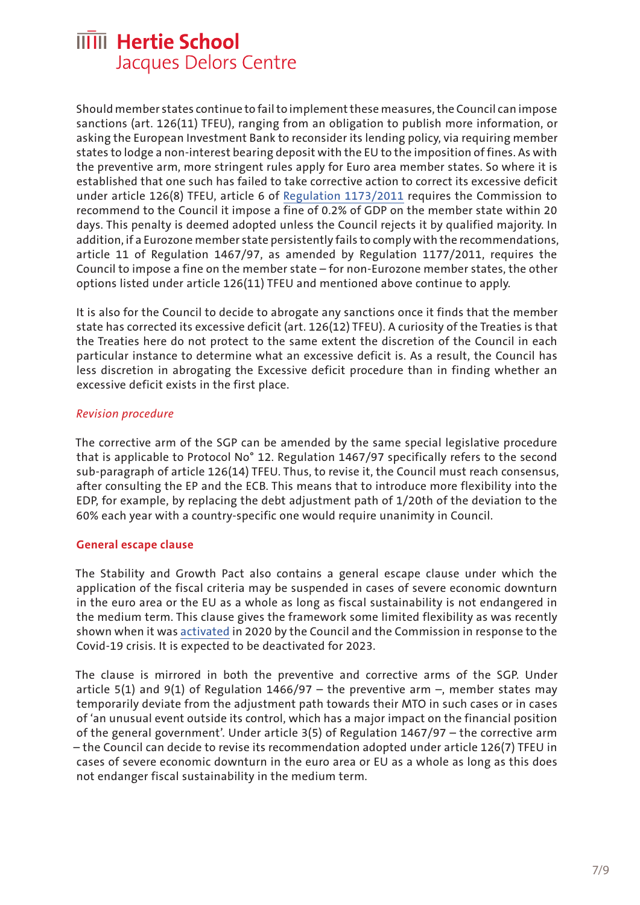Should member states continue to fail to implement these measures, the Council can impose sanctions (art. 126(11) TFEU), ranging from an obligation to publish more information, or asking the European Investment Bank to reconsider its lending policy, via requiring member states to lodge a non-interest bearing deposit with the EU to the imposition of fines. As with the preventive arm, more stringent rules apply for Euro area member states. So where it is established that one such has failed to take corrective action to correct its excessive deficit under article 126(8) TFEU, article 6 of [Regulation 1173/2011](https://eur-lex.europa.eu/legal-content/EN/ALL/?uri=CELEX%3A32011R1173) requires the Commission to recommend to the Council it impose a fine of 0.2% of GDP on the member state within 20 days. This penalty is deemed adopted unless the Council rejects it by qualified majority. In addition, if a Eurozone member state persistently fails to comply with the recommendations, article 11 of Regulation 1467/97, as amended by Regulation 1177/2011, requires the Council to impose a fine on the member state – for non-Eurozone member states, the other options listed under article 126(11) TFEU and mentioned above continue to apply.

It is also for the Council to decide to abrogate any sanctions once it finds that the member state has corrected its excessive deficit (art. 126(12) TFEU). A curiosity of the Treaties is that the Treaties here do not protect to the same extent the discretion of the Council in each particular instance to determine what an excessive deficit is. As a result, the Council has less discretion in abrogating the Excessive deficit procedure than in finding whether an excessive deficit exists in the first place.

#### *Revision procedure*

The corrective arm of the SGP can be amended by the same special legislative procedure that is applicable to Protocol No° 12. Regulation 1467/97 specifically refers to the second sub-paragraph of article 126(14) TFEU. Thus, to revise it, the Council must reach consensus, after consulting the EP and the ECB. This means that to introduce more flexibility into the EDP, for example, by replacing the debt adjustment path of 1/20th of the deviation to the 60% each year with a country-specific one would require unanimity in Council.

#### **General escape clause**

The Stability and Growth Pact also contains a general escape clause under which the application of the fiscal criteria may be suspended in cases of severe economic downturn in the euro area or the EU as a whole as long as fiscal sustainability is not endangered in the medium term. This clause gives the framework some limited flexibility as was recently shown when it was [activated](https://eur-lex.europa.eu/legal-content/EN/TXT/?qid=1591119459569&uri=CELEX:52020DC0123) in 2020 by the Council and the Commission in response to the Covid-19 crisis. It is expected to be deactivated for 2023.

The clause is mirrored in both the preventive and corrective arms of the SGP. Under article 5(1) and 9(1) of Regulation 1466/97 – the preventive arm –, member states may temporarily deviate from the adjustment path towards their MTO in such cases or in cases of 'an unusual event outside its control, which has a major impact on the financial position of the general government'. Under article 3(5) of Regulation 1467/97 – the corrective arm – the Council can decide to revise its recommendation adopted under article 126(7) TFEU in cases of severe economic downturn in the euro area or EU as a whole as long as this does not endanger fiscal sustainability in the medium term.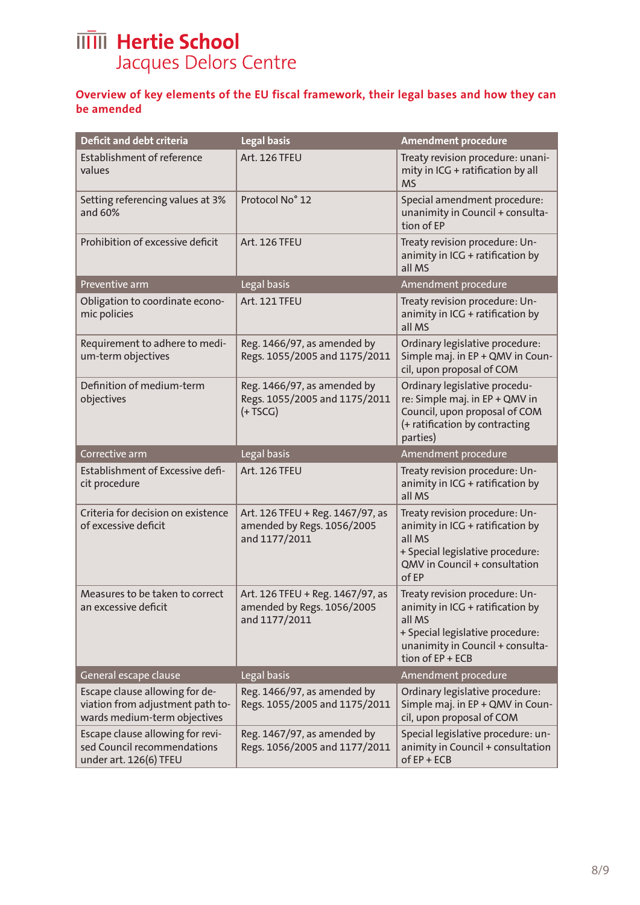#### **Overview of key elements of the EU fiscal framework, their legal bases and how they can be amended**

| <b>Deficit and debt criteria</b>                                                                   | Legal basis                                                                     | <b>Amendment procedure</b>                                                                                                                                               |
|----------------------------------------------------------------------------------------------------|---------------------------------------------------------------------------------|--------------------------------------------------------------------------------------------------------------------------------------------------------------------------|
| Establishment of reference<br>values                                                               | Art. 126 TFEU                                                                   | Treaty revision procedure: unani-<br>mity in ICG + ratification by all<br><b>MS</b>                                                                                      |
| Setting referencing values at 3%<br>and 60%                                                        | Protocol No° 12                                                                 | Special amendment procedure:<br>unanimity in Council + consulta-<br>tion of EP                                                                                           |
| Prohibition of excessive deficit                                                                   | <b>Art. 126 TFEU</b>                                                            | Treaty revision procedure: Un-<br>animity in ICG + ratification by<br>all MS                                                                                             |
| Preventive arm                                                                                     | Legal basis                                                                     | Amendment procedure                                                                                                                                                      |
| Obligation to coordinate econo-<br>mic policies                                                    | Art. 121 TFEU                                                                   | Treaty revision procedure: Un-<br>animity in ICG + ratification by<br>all MS                                                                                             |
| Requirement to adhere to medi-<br>um-term objectives                                               | Reg. 1466/97, as amended by<br>Regs. 1055/2005 and 1175/2011                    | Ordinary legislative procedure:<br>Simple maj. in EP + QMV in Coun-<br>cil, upon proposal of COM                                                                         |
| Definition of medium-term<br>objectives                                                            | Reg. 1466/97, as amended by<br>Regs. 1055/2005 and 1175/2011<br>$(+TSCG)$       | Ordinary legislative procedu-<br>re: Simple maj. in EP + QMV in<br>Council, upon proposal of COM<br>(+ ratification by contracting<br>parties)                           |
| Corrective arm                                                                                     | Legal basis                                                                     | Amendment procedure                                                                                                                                                      |
| Establishment of Excessive defi-<br>cit procedure                                                  | Art. 126 TFEU                                                                   | Treaty revision procedure: Un-<br>animity in ICG + ratification by<br>all MS                                                                                             |
| Criteria for decision on existence<br>of excessive deficit                                         | Art. 126 TFEU + Reg. 1467/97, as<br>amended by Regs. 1056/2005<br>and 1177/2011 | Treaty revision procedure: Un-<br>animity in ICG + ratification by<br>all MS<br>+ Special legislative procedure:<br>OMV in Council + consultation<br>of EP               |
| Measures to be taken to correct<br>an excessive deficit                                            | Art. 126 TFEU + Reg. 1467/97, as<br>amended by Regs. 1056/2005<br>and 1177/2011 | Treaty revision procedure: Un-<br>animity in ICG + ratification by<br>all MS<br>+ Special legislative procedure:<br>unanimity in Council + consulta-<br>tion of EP + ECB |
| General escape clause                                                                              | Legal basis                                                                     | Amendment procedure                                                                                                                                                      |
| Escape clause allowing for de-<br>viation from adjustment path to-<br>wards medium-term objectives | Reg. 1466/97, as amended by<br>Regs. 1055/2005 and 1175/2011                    | Ordinary legislative procedure:<br>Simple maj. in EP + QMV in Coun-<br>cil, upon proposal of COM                                                                         |
| Escape clause allowing for revi-<br>sed Council recommendations<br>under art. 126(6) TFEU          | Reg. 1467/97, as amended by<br>Regs. 1056/2005 and 1177/2011                    | Special legislative procedure: un-<br>animity in Council + consultation<br>$of EP + ECB$                                                                                 |